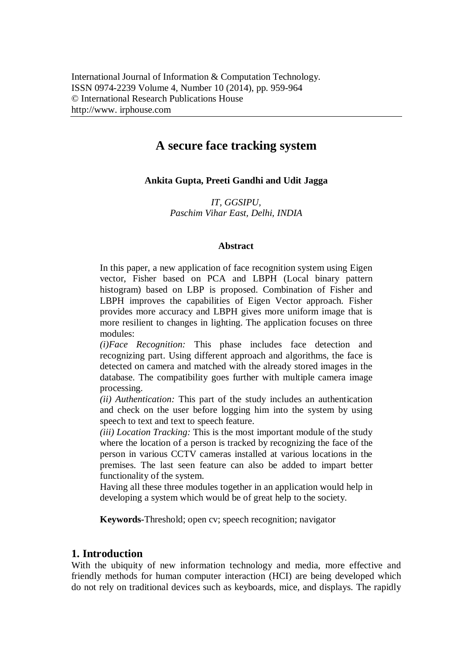# **A secure face tracking system**

# **Ankita Gupta, Preeti Gandhi and Udit Jagga**

*IT, GGSIPU, Paschim Vihar East, Delhi, INDIA*

## **Abstract**

In this paper, a new application of face recognition system using Eigen vector, Fisher based on PCA and LBPH (Local binary pattern histogram) based on LBP is proposed. Combination of Fisher and LBPH improves the capabilities of Eigen Vector approach. Fisher provides more accuracy and LBPH gives more uniform image that is more resilient to changes in lighting. The application focuses on three modules:

*(i)Face Recognition:* This phase includes face detection and recognizing part. Using different approach and algorithms, the face is detected on camera and matched with the already stored images in the database. The compatibility goes further with multiple camera image processing.

*(ii) Authentication:* This part of the study includes an authentication and check on the user before logging him into the system by using speech to text and text to speech feature.

*(iii) Location Tracking:* This is the most important module of the study where the location of a person is tracked by recognizing the face of the person in various CCTV cameras installed at various locations in the premises. The last seen feature can also be added to impart better functionality of the system.

Having all these three modules together in an application would help in developing a system which would be of great help to the society.

**Keywords-**Threshold; open cv; speech recognition; navigator

# **1. Introduction**

With the ubiquity of new information technology and media, more effective and friendly methods for human computer interaction (HCI) are being developed which do not rely on traditional devices such as keyboards, mice, and displays. The rapidly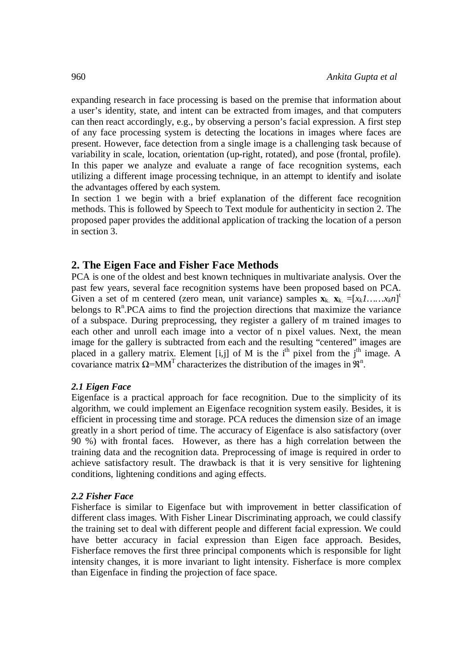expanding research in face processing is based on the premise that information about a user's identity, state, and intent can be extracted from images, and that computers can then react accordingly, e.g., by observing a person's facial expression. A first step of any face processing system is detecting the locations in images where faces are present. However, face detection from a single image is a challenging task because of variability in scale, location, orientation (up-right, rotated), and pose (frontal, profile). In this paper we analyze and evaluate a range of face recognition systems, each utilizing a different image processing technique, in an attempt to identify and isolate the advantages offered by each system.

In section 1 we begin with a brief explanation of the different face recognition methods. This is followed by Speech to Text module for authenticity in section 2. The proposed paper provides the additional application of tracking the location of a person in section 3.

## **2. The Eigen Face and Fisher Face Methods**

PCA is one of the oldest and best known techniques in multivariate analysis. Over the past few years, several face recognition systems have been proposed based on PCA. Given a set of m centered (zero mean, unit variance) samples  $\mathbf{x}_k$ ,  $\mathbf{x}_k = [x_k 1, \dots, x_k n]^t$ belongs to  $R<sup>n</sup>$ . PCA aims to find the projection directions that maximize the variance of a subspace. During preprocessing, they register a gallery of m trained images to each other and unroll each image into a vector of n pixel values. Next, the mean image for the gallery is subtracted from each and the resulting "centered" images are placed in a gallery matrix. Element [i,j] of M is the  $i<sup>th</sup>$  pixel from the  $i<sup>th</sup>$  image. A covariance matrix  $\Omega$ =MM<sup>T</sup> characterizes the distribution of the images in  $\mathbb{R}^n$ .

## *2.1 Eigen Face*

Eigenface is a practical approach for face recognition. Due to the simplicity of its algorithm, we could implement an Eigenface recognition system easily. Besides, it is efficient in processing time and storage. PCA reduces the dimension size of an image greatly in a short period of time. The accuracy of Eigenface is also satisfactory (over 90 %) with frontal faces. However, as there has a high correlation between the training data and the recognition data. Preprocessing of image is required in order to achieve satisfactory result. The drawback is that it is very sensitive for lightening conditions, lightening conditions and aging effects.

#### *2.2 Fisher Face*

Fisherface is similar to Eigenface but with improvement in better classification of different class images. With Fisher Linear Discriminating approach, we could classify the training set to deal with different people and different facial expression. We could have better accuracy in facial expression than Eigen face approach. Besides, Fisherface removes the first three principal components which is responsible for light intensity changes, it is more invariant to light intensity. Fisherface is more complex than Eigenface in finding the projection of face space.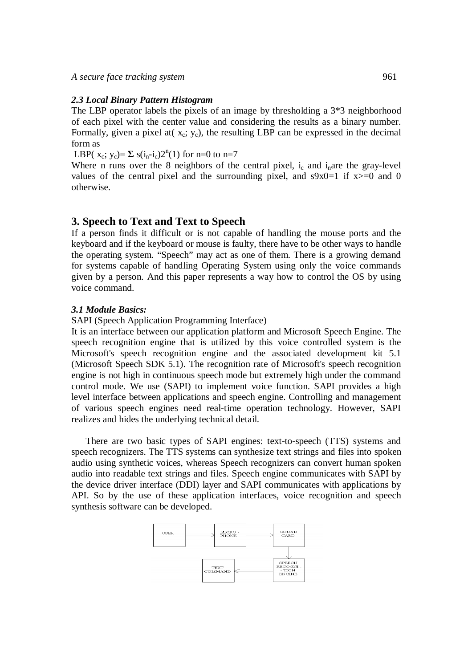#### *2.3 Local Binary Pattern Histogram*

The LBP operator labels the pixels of an image by thresholding a 3\*3 neighborhood of each pixel with the center value and considering the results as a binary number. Formally, given a pixel at  $(x_c; y_c)$ , the resulting LBP can be expressed in the decimal form as

LBP( $x_c$ ;  $y_c$ )=  $\Sigma$  s( $i_n$ - $i_c$ )2<sup>n</sup>(1) for n=0 to n=7

Where n runs over the 8 neighbors of the central pixel,  $i_c$  and  $i_n$  are the gray-level values of the central pixel and the surrounding pixel, and  $s9x0=1$  if  $x>=0$  and 0 otherwise.

## **3. Speech to Text and Text to Speech**

If a person finds it difficult or is not capable of handling the mouse ports and the keyboard and if the keyboard or mouse is faulty, there have to be other ways to handle the operating system. "Speech" may act as one of them. There is a growing demand for systems capable of handling Operating System using only the voice commands given by a person. And this paper represents a way how to control the OS by using voice command.

#### *3.1 Module Basics:*

SAPI (Speech Application Programming Interface)

It is an interface between our application platform and Microsoft Speech Engine. The speech recognition engine that is utilized by this voice controlled system is the Microsoft's speech recognition engine and the associated development kit 5.1 (Microsoft Speech SDK 5.1). The recognition rate of Microsoft's speech recognition engine is not high in continuous speech mode but extremely high under the command control mode. We use (SAPI) to implement voice function. SAPI provides a high level interface between applications and speech engine. Controlling and management of various speech engines need real-time operation technology. However, SAPI realizes and hides the underlying technical detail.

There are two basic types of SAPI engines: text-to-speech (TTS) systems and speech recognizers. The TTS systems can synthesize text strings and files into spoken audio using synthetic voices, whereas Speech recognizers can convert human spoken audio into readable text strings and files. Speech engine communicates with SAPI by the device driver interface (DDI) layer and SAPI communicates with applications by API. So by the use of these application interfaces, voice recognition and speech synthesis software can be developed.

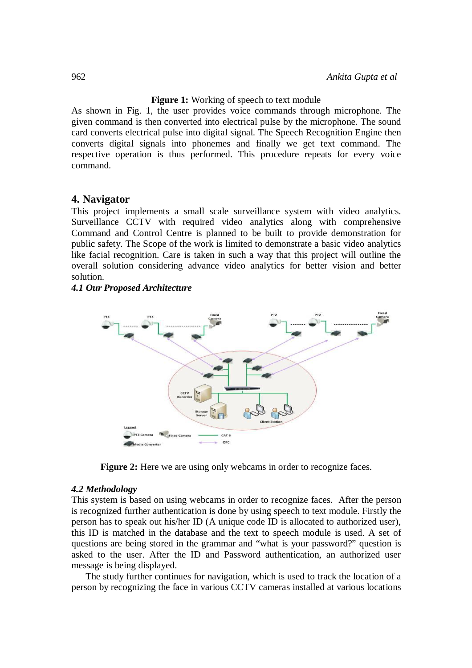## **Figure 1:** Working of speech to text module

As shown in Fig. 1, the user provides voice commands through microphone. The given command is then converted into electrical pulse by the microphone. The sound card converts electrical pulse into digital signal. The Speech Recognition Engine then converts digital signals into phonemes and finally we get text command. The respective operation is thus performed. This procedure repeats for every voice command.

## **4. Navigator**

This project implements a small scale surveillance system with video analytics. Surveillance CCTV with required video analytics along with comprehensive Command and Control Centre is planned to be built to provide demonstration for public safety. The Scope of the work is limited to demonstrate a basic video analytics like facial recognition. Care is taken in such a way that this project will outline the overall solution considering advance video analytics for better vision and better solution.

*4.1 Our Proposed Architecture* 



**Figure 2:** Here we are using only webcams in order to recognize faces.

#### *4.2 Methodology*

This system is based on using webcams in order to recognize faces. After the person is recognized further authentication is done by using speech to text module. Firstly the person has to speak out his/her ID (A unique code ID is allocated to authorized user), this ID is matched in the database and the text to speech module is used. A set of questions are being stored in the grammar and "what is your password?" question is asked to the user. After the ID and Password authentication, an authorized user message is being displayed.

The study further continues for navigation, which is used to track the location of a person by recognizing the face in various CCTV cameras installed at various locations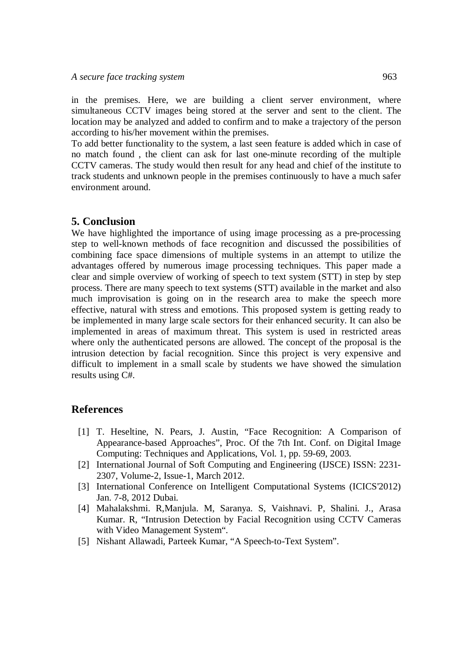in the premises. Here, we are building a client server environment, where simultaneous CCTV images being stored at the server and sent to the client. The location may be analyzed and added to confirm and to make a trajectory of the person according to his/her movement within the premises.

To add better functionality to the system, a last seen feature is added which in case of no match found , the client can ask for last one-minute recording of the multiple CCTV cameras. The study would then result for any head and chief of the institute to track students and unknown people in the premises continuously to have a much safer environment around.

# **5. Conclusion**

We have highlighted the importance of using image processing as a pre-processing step to well-known methods of face recognition and discussed the possibilities of combining face space dimensions of multiple systems in an attempt to utilize the advantages offered by numerous image processing techniques. This paper made a clear and simple overview of working of speech to text system (STT) in step by step process. There are many speech to text systems (STT) available in the market and also much improvisation is going on in the research area to make the speech more effective, natural with stress and emotions. This proposed system is getting ready to be implemented in many large scale sectors for their enhanced security. It can also be implemented in areas of maximum threat. This system is used in restricted areas where only the authenticated persons are allowed. The concept of the proposal is the intrusion detection by facial recognition. Since this project is very expensive and difficult to implement in a small scale by students we have showed the simulation results using C#.

## **References**

- [1] T. Heseltine, N. Pears, J. Austin, "Face Recognition: A Comparison of Appearance-based Approaches", Proc. Of the 7th Int. Conf. on Digital Image Computing: Techniques and Applications, Vol. 1, pp. 59-69, 2003.
- [2] International Journal of Soft Computing and Engineering (IJSCE) ISSN: 2231- 2307, Volume-2, Issue-1, March 2012.
- [3] International Conference on Intelligent Computational Systems (ICICS'2012) Jan. 7-8, 2012 Dubai.
- [4] Mahalakshmi. R,Manjula. M, Saranya. S, Vaishnavi. P, Shalini. J., Arasa Kumar. R, "Intrusion Detection by Facial Recognition using CCTV Cameras with Video Management System".
- [5] Nishant Allawadi, Parteek Kumar, "A Speech-to-Text System".